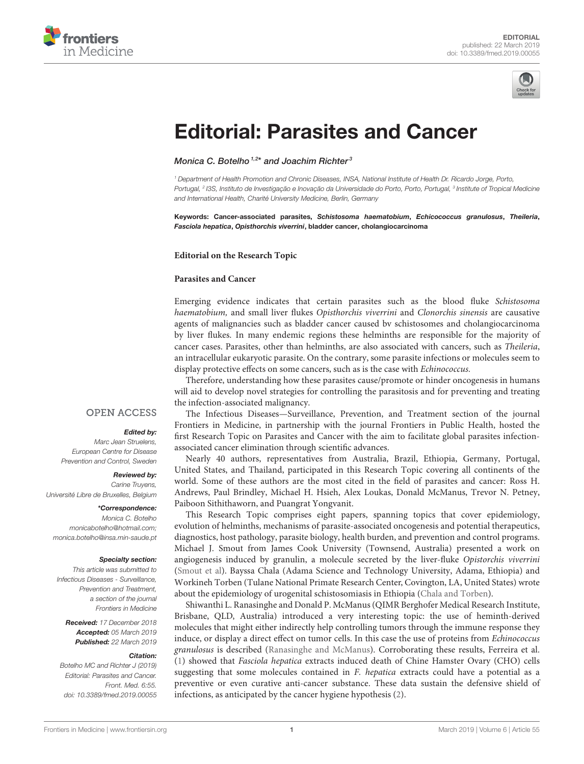



# [Editorial: Parasites and Cancer](https://www.frontiersin.org/articles/10.3389/fmed.2019.00055/full)

[Monica C. Botelho](http://loop.frontiersin.org/people/117233/overview)<sup>1,2\*</sup> and [Joachim Richter](http://loop.frontiersin.org/people/192139/overview)<sup>3</sup>

<sup>1</sup> Department of Health Promotion and Chronic Diseases, INSA, National Institute of Health Dr. Ricardo Jorge, Porto, Portugal, <sup>2</sup> I3S, Instituto de Investigação e Inovação da Universidade do Porto, Porto, Portugal, <sup>3</sup> Institute of Tropical Medicine and International Health, Charité University Medicine, Berlin, Germany

Keywords: Cancer-associated parasites, Schistosoma haematobium, Echicococcus granulosus, Theileria, Fasciola hepatica, Opisthorchis viverrini, bladder cancer, cholangiocarcinoma

#### **Editorial on the Research Topic**

#### **[Parasites and Cancer](https://www.frontiersin.org/research-topics/5865/parasites-and-cancer)**

Emerging evidence indicates that certain parasites such as the blood fluke Schistosoma haematobium, and small liver flukes Opisthorchis viverrini and Clonorchis sinensis are causative agents of malignancies such as bladder cancer caused bv schistosomes and cholangiocarcinoma by liver flukes. In many endemic regions these helminths are responsible for the majority of cancer cases. Parasites, other than helminths, are also associated with cancers, such as Theileria, an intracellular eukaryotic parasite. On the contrary, some parasite infections or molecules seem to display protective effects on some cancers, such as is the case with Echinococcus.

Therefore, understanding how these parasites cause/promote or hinder oncogenesis in humans will aid to develop novel strategies for controlling the parasitosis and for preventing and treating the infection-associated malignancy.

### **OPEN ACCESS**

#### Edited by:

Marc Jean Struelens European Centre for Disease Prevention and Control, Sweden

#### Reviewed by:

Carine Truyens, Université Libre de Bruxelles, Belgium

#### \*Correspondence:

Monica C. Botelho [monicabotelho@hotmail.com;](mailto:monicabotelho@hotmail.com) [monica.botelho@insa.min-saude.pt](mailto:monica.botelho@insa.min-saude.pt)

#### Specialty section:

This article was submitted to Infectious Diseases - Surveillance, Prevention and Treatment, a section of the journal Frontiers in Medicine

Received: 17 December 2018 Accepted: 05 March 2019 Published: 22 March 2019

#### Citation:

Botelho MC and Richter J (2019) Editorial: Parasites and Cancer. Front. Med. 6:55. doi: [10.3389/fmed.2019.00055](https://doi.org/10.3389/fmed.2019.00055)

The Infectious Diseases—Surveillance, Prevention, and Treatment section of the journal Frontiers in Medicine, in partnership with the journal Frontiers in Public Health, hosted the first Research Topic on Parasites and Cancer with the aim to facilitate global parasites infectionassociated cancer elimination through scientific advances.

Nearly 40 authors, representatives from Australia, Brazil, Ethiopia, Germany, Portugal, United States, and Thailand, participated in this Research Topic covering all continents of the world. Some of these authors are the most cited in the field of parasites and cancer: Ross H. Andrews, Paul Brindley, Michael H. Hsieh, Alex Loukas, Donald McManus, Trevor N. Petney, Paiboon Sithithaworn, and Puangrat Yongvanit.

This Research Topic comprises eight papers, spanning topics that cover epidemiology, evolution of helminths, mechanisms of parasite-associated oncogenesis and potential therapeutics, diagnostics, host pathology, parasite biology, health burden, and prevention and control programs. Michael J. Smout from James Cook University (Townsend, Australia) presented a work on angiogenesis induced by granulin, a molecule secreted by the liver-fluke Opistorchis viverrini [\(Smout et al\)](https://doi.org/10.3389/fmed.2018.00030). Bayssa Chala (Adama Science and Technology University, Adama, Ethiopia) and Workineh Torben (Tulane National Primate Research Center, Covington, LA, United States) wrote about the epidemiology of urogenital schistosomiasis in Ethiopia [\(Chala and Torben\)](https://doi.org/10.3389/fpubh.2018.00060).

Shiwanthi L. Ranasinghe and Donald P. McManus (QIMR Berghofer Medical Research Institute, Brisbane, QLD, Australia) introduced a very interesting topic: the use of heminth-derived molecules that might either indirectly help controlling tumors through the immune response they induce, or display a direct effect on tumor cells. In this case the use of proteins from Echinococcus granulosus is described [\(Ranasinghe and McManus\)](https://doi.org/10.3389/fmed.2018.00060). Corroborating these results, Ferreira et al. [\(1\)](#page-1-0) showed that Fasciola hepatica extracts induced death of Chine Hamster Ovary (CHO) cells suggesting that some molecules contained in F. hepatica extracts could have a potential as a preventive or even curative anti-cancer substance. These data sustain the defensive shield of infections, as anticipated by the cancer hygiene hypothesis [\(2\)](#page-1-1).